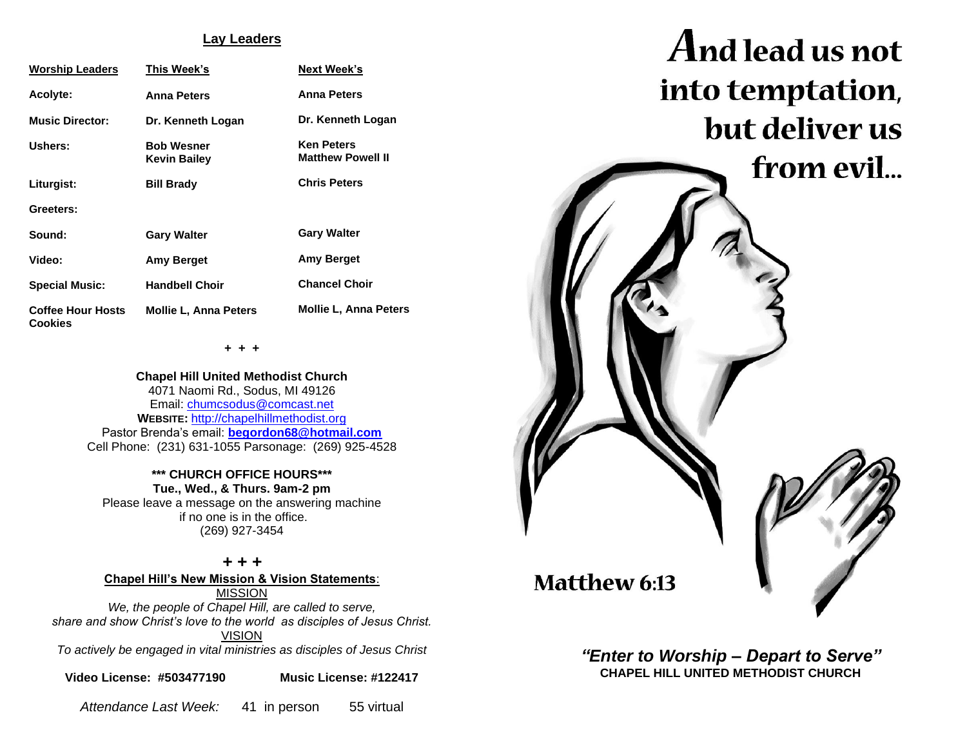## **Lay Leaders**

| <b>Worship Leaders</b>                     | This Week's                              | <b>Next Week's</b>                            |
|--------------------------------------------|------------------------------------------|-----------------------------------------------|
| Acolyte:                                   | <b>Anna Peters</b>                       | <b>Anna Peters</b>                            |
| <b>Music Director:</b>                     | Dr. Kenneth Logan                        | Dr. Kenneth Logan                             |
| Ushers:                                    | <b>Bob Wesner</b><br><b>Kevin Bailey</b> | <b>Ken Peters</b><br><b>Matthew Powell II</b> |
| Liturgist:                                 | <b>Bill Brady</b>                        | <b>Chris Peters</b>                           |
| Greeters:                                  |                                          |                                               |
| Sound:                                     | <b>Gary Walter</b>                       | <b>Gary Walter</b>                            |
| Video:                                     | <b>Amy Berget</b>                        | Amy Berget                                    |
| <b>Special Music:</b>                      | <b>Handbell Choir</b>                    | <b>Chancel Choir</b>                          |
| <b>Coffee Hour Hosts</b><br><b>Cookies</b> | <b>Mollie L. Anna Peters</b>             | <b>Mollie L. Anna Peters</b>                  |

**+ + +**

**Chapel Hill United Methodist Church** 4071 Naomi Rd., Sodus, MI 49126 Email: [chumcsodus@comcast.net](mailto:chumcsodus@comcast.net) **WEBSITE:** [http://chapelhillmethodist.org](http://chapelhillmethodist.org/) Pastor Brenda's email: **[begordon68@hotmail.com](mailto:begordon68@hotmail.com)** Cell Phone: (231) 631-1055 Parsonage: (269) 925-4528

**\*\*\* CHURCH OFFICE HOURS\*\*\* Tue., Wed., & Thurs. 9am-2 pm** Please leave a message on the answering machine if no one is in the office. (269) 927-3454

*+ + +* **Chapel Hill's New Mission & Vision Statements**: MISSION *We, the people of Chapel Hill, are called to serve, share and show Christ's love to the world as disciples of Jesus Christ.* VISION *To actively be engaged in vital ministries as disciples of Jesus Christ*

**Video License: #503477190 Music License: #122417**

*Attendance Last Week:* 41 in person 55 virtual



*"Enter to Worship – Depart to Serve"* **CHAPEL HILL UNITED METHODIST CHURCH**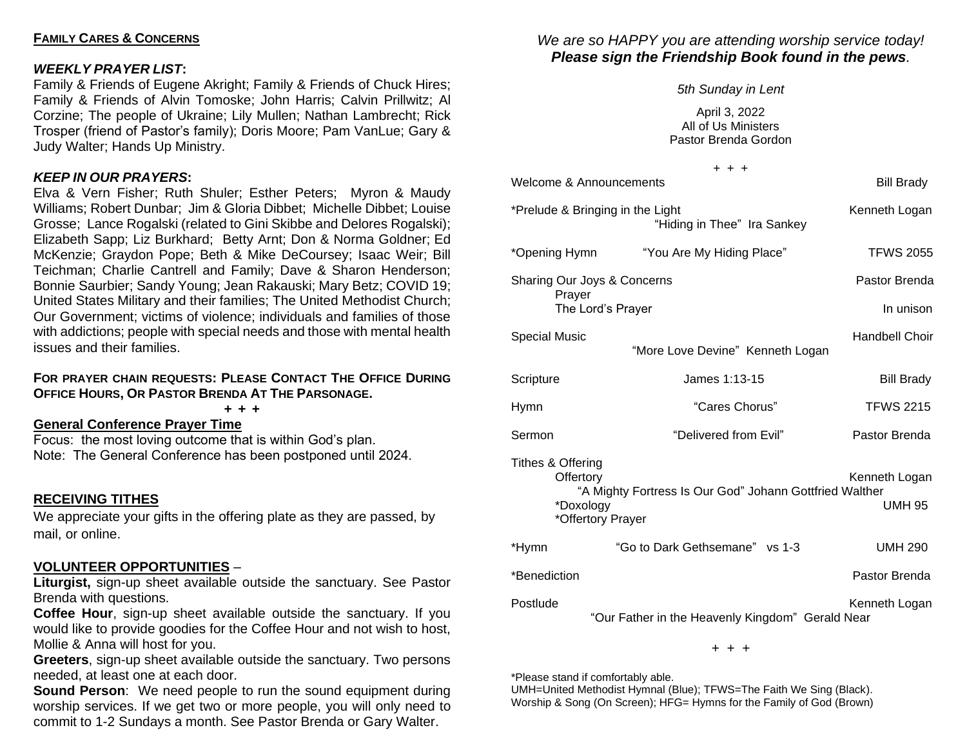# **FAMILY CARES & CONCERNS**

# *WEEKLY PRAYER LIST***:**

Family & Friends of Eugene Akright; Family & Friends of Chuck Hires; Family & Friends of Alvin Tomoske; John Harris; Calvin Prillwitz; Al Corzine; The people of Ukraine; Lily Mullen; Nathan Lambrecht; Rick Trosper (friend of Pastor's family); Doris Moore; Pam VanLue; Gary & Judy Walter; Hands Up Ministry.

# *KEEP IN OUR PRAYERS***:**

Elva & Vern Fisher; Ruth Shuler; Esther Peters; Myron & Maudy Williams; Robert Dunbar; Jim & Gloria Dibbet; Michelle Dibbet; Louise Grosse; Lance Rogalski (related to Gini Skibbe and Delores Rogalski); Elizabeth Sapp; Liz Burkhard; Betty Arnt; Don & Norma Goldner; Ed McKenzie; Graydon Pope; Beth & Mike DeCoursey; Isaac Weir; Bill Teichman; Charlie Cantrell and Family; Dave & Sharon Henderson; Bonnie Saurbier; Sandy Young; Jean Rakauski; Mary Betz; COVID 19; United States Military and their families; The United Methodist Church; Our Government; victims of violence; individuals and families of those with addictions; people with special needs and those with mental health issues and their families.

## **FOR PRAYER CHAIN REQUESTS: PLEASE CONTACT THE OFFICE DURING OFFICE HOURS, OR PASTOR BRENDA AT THE PARSONAGE.**

**+ + +**

**General Conference Prayer Time**

Focus: the most loving outcome that is within God's plan. Note: The General Conference has been postponed until 2024.

# **RECEIVING TITHES**

We appreciate your gifts in the offering plate as they are passed, by mail, or online.

# **VOLUNTEER OPPORTUNITIES** –

**Liturgist,** sign-up sheet available outside the sanctuary. See Pastor Brenda with questions.

**Coffee Hour**, sign-up sheet available outside the sanctuary. If you would like to provide goodies for the Coffee Hour and not wish to host, Mollie & Anna will host for you.

**Greeters**, sign-up sheet available outside the sanctuary. Two persons needed, at least one at each door.

**Sound Person:** We need people to run the sound equipment during worship services. If we get two or more people, you will only need to commit to 1-2 Sundays a month. See Pastor Brenda or Gary Walter.

# *We are so HAPPY you are attending worship service today! Please sign the Friendship Book found in the pews.*

*5th Sunday in Lent* April 3, 2022 All of Us Ministers Pastor Brenda Gordon

|                                             | $+ + +$                                                                      |                                |
|---------------------------------------------|------------------------------------------------------------------------------|--------------------------------|
| Welcome & Announcements                     | <b>Bill Brady</b>                                                            |                                |
|                                             | *Prelude & Bringing in the Light<br>"Hiding in Thee" Ira Sankey              | Kenneth Logan                  |
| *Opening Hymn                               | "You Are My Hiding Place"                                                    | <b>TFWS 2055</b>               |
| Sharing Our Joys & Concerns<br>Prayer       |                                                                              | Pastor Brenda                  |
|                                             | The Lord's Prayer                                                            | In unison                      |
| <b>Special Music</b>                        | "More Love Devine" Kenneth Logan                                             | <b>Handbell Choir</b>          |
| Scripture                                   | James 1:13-15                                                                | <b>Bill Brady</b>              |
| Hymn                                        | "Cares Chorus"                                                               | <b>TFWS 2215</b>               |
| Sermon                                      | "Delivered from Evil"                                                        | Pastor Brenda                  |
| Tithes & Offering<br>Offertory<br>*Doxology | "A Mighty Fortress Is Our God" Johann Gottfried Walther<br>*Offertory Prayer | Kenneth Logan<br><b>UMH 95</b> |
| *Hymn                                       | "Go to Dark Gethsemane" vs 1-3                                               | <b>UMH 290</b>                 |
| *Benediction                                |                                                                              | Pastor Brenda                  |
| Postlude                                    | "Our Father in the Heavenly Kingdom" Gerald Near                             | Kenneth Logan                  |

+ + +

\*Please stand if comfortably able.

UMH=United Methodist Hymnal (Blue); TFWS=The Faith We Sing (Black). Worship & Song (On Screen); HFG= Hymns for the Family of God (Brown)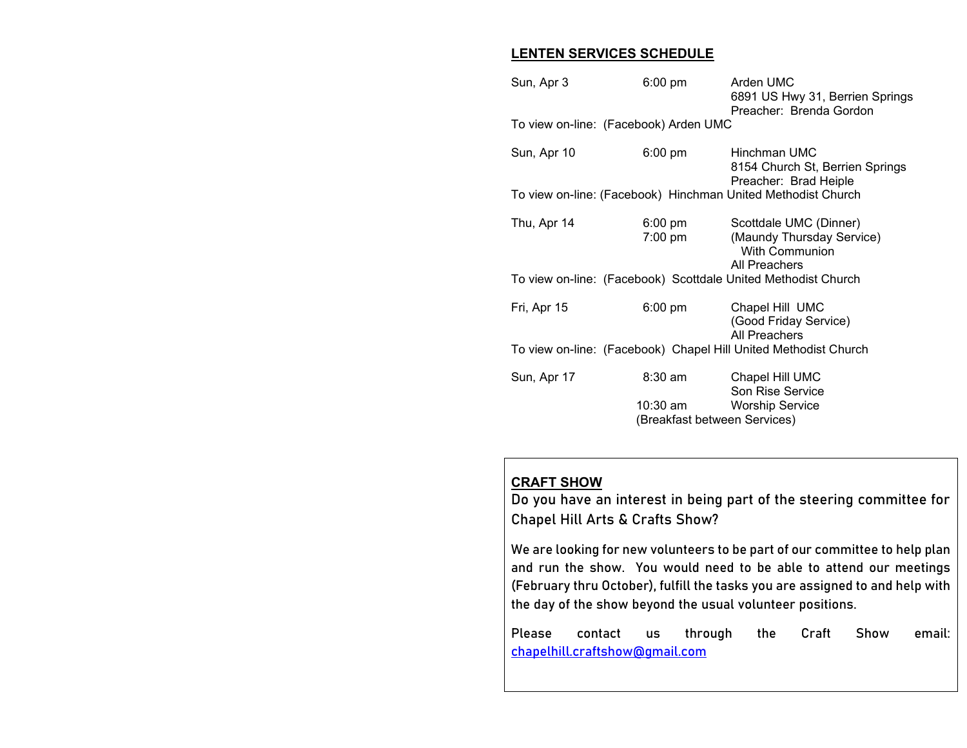# **LENTEN SERVICES SCHEDULE**

| Sun, Apr 3                                                      | $6:00$ pm                                | Arden UMC<br>6891 US Hwy 31, Berrien Springs<br>Preacher: Brenda Gordon                       |  |  |
|-----------------------------------------------------------------|------------------------------------------|-----------------------------------------------------------------------------------------------|--|--|
| To view on-line: (Facebook) Arden UMC                           |                                          |                                                                                               |  |  |
| Sun, Apr 10                                                     | $6:00 \text{ pm}$                        | Hinchman UMC<br>8154 Church St, Berrien Springs<br>Preacher: Brad Heiple                      |  |  |
| To view on-line: (Facebook) Hinchman United Methodist Church    |                                          |                                                                                               |  |  |
| Thu, Apr 14                                                     | 6:00 pm<br>$7:00 \text{ pm}$             | Scottdale UMC (Dinner)<br>(Maundy Thursday Service)<br><b>With Communion</b><br>All Preachers |  |  |
| To view on-line: (Facebook) Scottdale United Methodist Church   |                                          |                                                                                               |  |  |
| Fri, Apr 15                                                     | $6:00 \text{ pm}$                        | Chapel Hill UMC<br>(Good Friday Service)<br><b>All Preachers</b>                              |  |  |
| To view on-line: (Facebook) Chapel Hill United Methodist Church |                                          |                                                                                               |  |  |
| Sun, Apr 17                                                     | 8:30 am                                  | Chapel Hill UMC<br>Son Rise Service                                                           |  |  |
|                                                                 | 10:30 am<br>(Breakfast between Services) | <b>Worship Service</b>                                                                        |  |  |

# **CRAFT SHOW**

**Do you have an interest in being part of the steering committee for Chapel Hill Arts & Crafts Show?**

We are looking for new volunteers to be part of our committee to help plan and run the show. You would need to be able to attend our meetings (February thru October), fulfill the tasks you are assigned to and help with the day of the show beyond the usual volunteer positions.

Please contact us through the Craft Show email: [chapelhill.craftshow@gmail.com](mailto:chapelhill.craftshow@gmail.com)